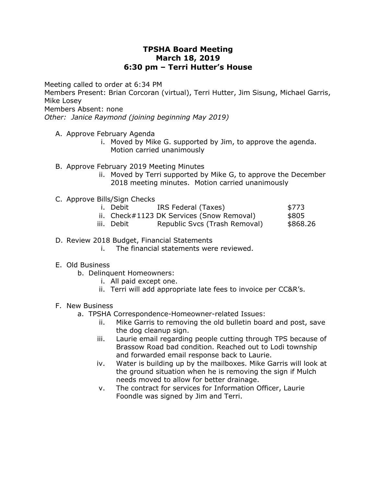## **TPSHA Board Meeting March 18, 2019 6:30 pm – Terri Hutter's House**

Meeting called to order at 6:34 PM

Members Present: Brian Corcoran (virtual), Terri Hutter, Jim Sisung, Michael Garris, Mike Losey

Members Absent: none

*Other: Janice Raymond (joining beginning May 2019)*

- A. Approve February Agenda
	- i. Moved by Mike G. supported by Jim, to approve the agenda. Motion carried unanimously
- B. Approve February 2019 Meeting Minutes
	- ii. Moved by Terri supported by Mike G, to approve the December 2018 meeting minutes. Motion carried unanimously
- C. Approve Bills/Sign Checks
	- i. Debit IRS Federal (Taxes) \$773
	- ii. Check#1123 DK Services (Snow Removal) \$805
	- iii. Debit Republic Svcs (Trash Removal) \$868.26
- D. Review 2018 Budget, Financial Statements
	- i. The financial statements were reviewed.
- E. Old Business
	- b. Delinquent Homeowners:
		- i. All paid except one.
		- ii. Terri will add appropriate late fees to invoice per CC&R's.

## F. New Business

- a. TPSHA Correspondence-Homeowner-related Issues:
	- ii. Mike Garris to removing the old bulletin board and post, save the dog cleanup sign.
	- iii. Laurie email regarding people cutting through TPS because of Brassow Road bad condition. Reached out to Lodi township and forwarded email response back to Laurie.
	- iv. Water is building up by the mailboxes. Mike Garris will look at the ground situation when he is removing the sign if Mulch needs moved to allow for better drainage.
	- v. The contract for services for Information Officer, Laurie Foondle was signed by Jim and Terri.